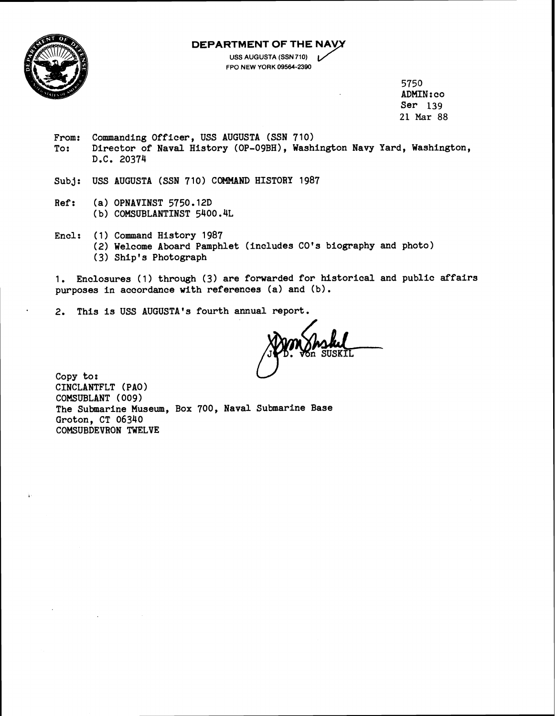**DEPARTMENT OF THE** 



**USS AUGUSTA (SSN 710) FPO NEW YORK 09564-2390** 

> 5750 ADMIN : co Ser 139 21 Mar **88**

From: Commanding Officer, USS AUGUSTA (SSN 710) To: Director of Naval History (OP-OgBH), Washington Navy Yard, Washington, D.C. 20374

Subj: USS AUGUSTA (SSN 710) COMMAND HISTORY 1987

- Ref: (a) OPNAVINST 5750.12D (b) COMSUBLANTINST 5400.4L
- Encl: (1) Command History 1987 (2) Welcome Aboard Pamphlet (includes CO's biography and photo) **(3)** Ship's Photograph

1. Enclosures (1) through **(3)** are forwarded for historical and public affairs purposes in accordance with references (a) and (b).

2. This is USS AUGUSTA'S fourth annual report.

Copy to: CINCLANTFLT ( PA0 ) COMSUBLANT (009) The Submarine Museum, Box 700, Naval Submarine Base Groton, CT 06340 COMSUBDEVRON TWELVE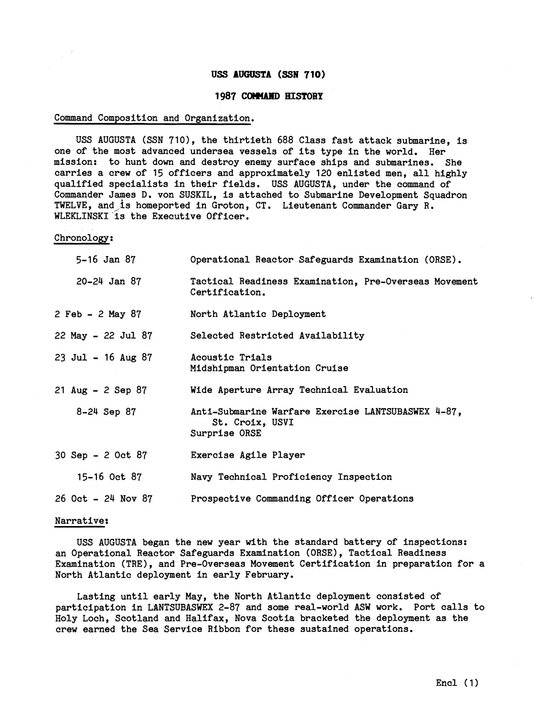# **USS AUGUSTA (SSN 710)**

## **1987 COH4AlfD HISTORY**

### Command Composition and Organization.

USS AUGUSTA (SSN 710), the thirtieth 688 Class fast attack submarine, is one of the most advanced undersea vessels of its type in the world. Her mission: to hunt down and destroy enemy surface ships and submarines. She carries a crew of 15 officers and approximately 120 enlisted men, all highly qualified specialists in their fields. USS AUGUSTA, under the command of Commander James D. von SUSKIL, is attached to Submarine Development Squadron TWELVE, and is homeported in Groton, CT. Lieutenant Commander Gary R. WLEKLINSKI is the Executive Officer.

Chronology:

| 5-16 Jan 87               | Operational Reactor Safeguards Examination (ORSE).                                     |
|---------------------------|----------------------------------------------------------------------------------------|
| $20 - 24$ Jan 87          | Tactical Readiness Examination, Pre-Overseas Movement<br>Certification.                |
| 2 Feb - 2 May 87          | North Atlantic Deployment                                                              |
| 22 May - 22 Jul 87        | Selected Restricted Availability                                                       |
| 23 Jul - 16 Aug 87        | Acoustic Trials<br>Midshipman Orientation Cruise                                       |
| 21 Aug - 2 Sep 87         | Wide Aperture Array Technical Evaluation                                               |
| 8-24 Sep 87               | Anti-Submarine Warfare Exercise LANTSUBASWEX 4-87.<br>St. Croix, USVI<br>Surprise ORSE |
| 30 Sep - 2 Oct 87         | Exercise Agile Player                                                                  |
| 15-16 Oct 87              | Navy Technical Proficiency Inspection                                                  |
| <b>26 Oct - 24 Nov 87</b> | Prospective Commanding Officer Operations                                              |

#### Narrative:

USS AUGUSTA began the new year with the standard battery of inspections: an Operational Reactor Safeguards Examination (ORSE), Tactical Readiness Examination (TRE), and Pre-Overseas Movement Certification in preparation for a North Atlantic deployment in early February.

Lasting until early May, the North Atlantic deployment consisted of participation in LANTSUBASWEX 2-87 and some real-world ASW work. Port calls to Holy Loch, Scotland and Halifax, Nova Scotia bracketed the deployment as the crew earned the Sea Service Ribbon for these sustained operations.